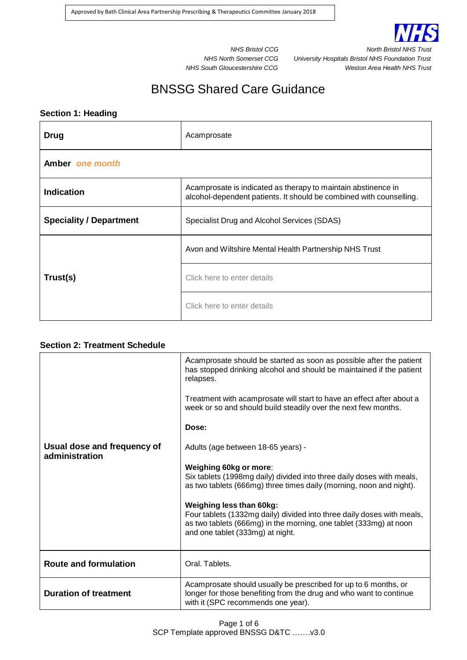

*NHS Bristol CCG North Bristol NHS Trust NHS North Somerset CCG University Hospitals Bristol NHS Foundation Trust NHS South Gloucestershire CCG Weston Area Health NHS Trust*

# BNSSG Shared Care Guidance

## **Section 1: Heading**

| Drug                           | Acamprosate                                                                                                                          |  |
|--------------------------------|--------------------------------------------------------------------------------------------------------------------------------------|--|
| Amber one month                |                                                                                                                                      |  |
| <b>Indication</b>              | Acamprosate is indicated as therapy to maintain abstinence in<br>alcohol-dependent patients. It should be combined with counselling. |  |
| <b>Speciality / Department</b> | Specialist Drug and Alcohol Services (SDAS)                                                                                          |  |
| Trust(s)                       | Avon and Wiltshire Mental Health Partnership NHS Trust                                                                               |  |
|                                | Click here to enter details                                                                                                          |  |
|                                | Click here to enter details                                                                                                          |  |

## **Section 2: Treatment Schedule**

|                                               | Acamprosate should be started as soon as possible after the patient<br>has stopped drinking alcohol and should be maintained if the patient<br>relapses.<br>Treatment with acamprosate will start to have an effect after about a |
|-----------------------------------------------|-----------------------------------------------------------------------------------------------------------------------------------------------------------------------------------------------------------------------------------|
|                                               | week or so and should build steadily over the next few months.<br>Dose:                                                                                                                                                           |
|                                               |                                                                                                                                                                                                                                   |
| Usual dose and frequency of<br>administration | Adults (age between 18-65 years) -                                                                                                                                                                                                |
|                                               | Weighing 60kg or more:<br>Six tablets (1998mg daily) divided into three daily doses with meals,<br>as two tablets (666mg) three times daily (morning, noon and night).                                                            |
|                                               | <b>Weighing less than 60kg:</b><br>Four tablets (1332mg daily) divided into three daily doses with meals,<br>as two tablets (666mg) in the morning, one tablet (333mg) at noon<br>and one tablet (333mg) at night.                |
| <b>Route and formulation</b>                  | Oral. Tablets.                                                                                                                                                                                                                    |
| <b>Duration of treatment</b>                  | Acamprosate should usually be prescribed for up to 6 months, or<br>longer for those benefiting from the drug and who want to continue<br>with it (SPC recommends one year).                                                       |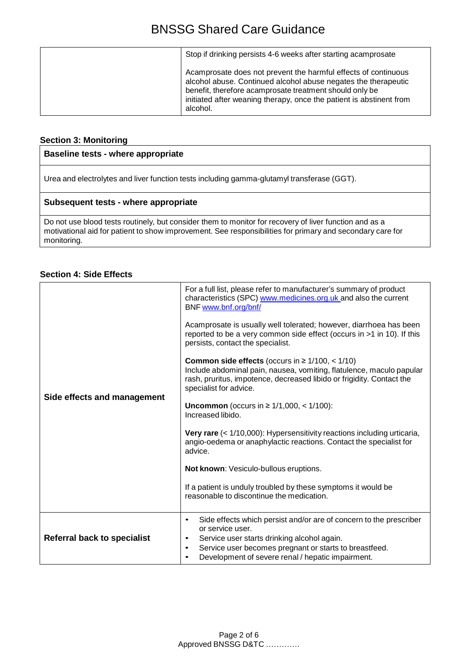| Stop if drinking persists 4-6 weeks after starting acamprosate                                                                                                                                                                                                                 |
|--------------------------------------------------------------------------------------------------------------------------------------------------------------------------------------------------------------------------------------------------------------------------------|
| Acamprosate does not prevent the harmful effects of continuous<br>alcohol abuse. Continued alcohol abuse negates the therapeutic<br>benefit, therefore acamprosate treatment should only be<br>initiated after weaning therapy, once the patient is abstinent from<br>alcohol. |

## **Section 3: Monitoring**

## **Baseline tests - where appropriate**

Urea and electrolytes and liver function tests including gamma-glutamyl transferase (GGT).

## **Subsequent tests - where appropriate**

Do not use blood tests routinely, but consider them to monitor for recovery of liver function and as a motivational aid for patient to show improvement. See responsibilities for primary and secondary care for monitoring.

## **Section 4: Side Effects**

| Side effects and management        | For a full list, please refer to manufacturer's summary of product<br>characteristics (SPC) www.medicines.org.uk and also the current<br>BNF www.bnf.org/bnf/<br>Acamprosate is usually well tolerated; however, diarrhoea has been<br>reported to be a very common side effect (occurs in >1 in 10). If this<br>persists, contact the specialist.<br><b>Common side effects</b> (occurs in $\geq 1/100, < 1/10$ )<br>Include abdominal pain, nausea, vomiting, flatulence, maculo papular<br>rash, pruritus, impotence, decreased libido or frigidity. Contact the<br>specialist for advice.<br><b>Uncommon</b> (occurs in ≥ $1/1,000,$ < $1/100$ ):<br>Increased libido.<br>Very rare (< 1/10,000): Hypersensitivity reactions including urticaria,<br>angio-oedema or anaphylactic reactions. Contact the specialist for<br>advice.<br>Not known: Vesiculo-bullous eruptions.<br>If a patient is unduly troubled by these symptoms it would be<br>reasonable to discontinue the medication. |
|------------------------------------|------------------------------------------------------------------------------------------------------------------------------------------------------------------------------------------------------------------------------------------------------------------------------------------------------------------------------------------------------------------------------------------------------------------------------------------------------------------------------------------------------------------------------------------------------------------------------------------------------------------------------------------------------------------------------------------------------------------------------------------------------------------------------------------------------------------------------------------------------------------------------------------------------------------------------------------------------------------------------------------------|
| <b>Referral back to specialist</b> | Side effects which persist and/or are of concern to the prescriber<br>$\bullet$<br>or service user.<br>Service user starts drinking alcohol again.<br>$\bullet$<br>Service user becomes pregnant or starts to breastfeed.<br>$\bullet$<br>Development of severe renal / hepatic impairment.<br>$\bullet$                                                                                                                                                                                                                                                                                                                                                                                                                                                                                                                                                                                                                                                                                       |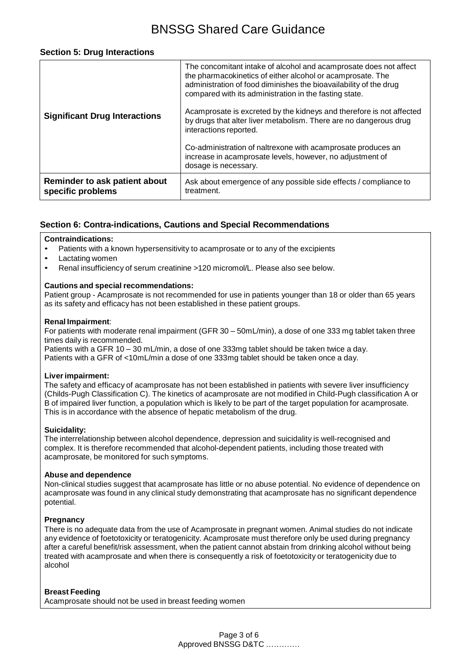## BNSSG Shared Care Guidance

#### **Section 5: Drug Interactions**

| <b>Significant Drug Interactions</b>               | The concomitant intake of alcohol and acamprosate does not affect<br>the pharmacokinetics of either alcohol or acamprosate. The<br>administration of food diminishes the bioavailability of the drug<br>compared with its administration in the fasting state.<br>Acamprosate is excreted by the kidneys and therefore is not affected<br>by drugs that alter liver metabolism. There are no dangerous drug<br>interactions reported.<br>Co-administration of naltrexone with acamprosate produces an<br>increase in acamprosate levels, however, no adjustment of |
|----------------------------------------------------|--------------------------------------------------------------------------------------------------------------------------------------------------------------------------------------------------------------------------------------------------------------------------------------------------------------------------------------------------------------------------------------------------------------------------------------------------------------------------------------------------------------------------------------------------------------------|
|                                                    | dosage is necessary.                                                                                                                                                                                                                                                                                                                                                                                                                                                                                                                                               |
| Reminder to ask patient about<br>specific problems | Ask about emergence of any possible side effects / compliance to<br>treatment.                                                                                                                                                                                                                                                                                                                                                                                                                                                                                     |

## **Section 6: Contra-indications, Cautions and Special Recommendations**

#### **Contraindications:**

- Patients with a known hypersensitivity to acamprosate or to any of the excipients
- Lactating women
- Renal insufficiency of serum creatinine >120 micromol/L. Please also see below.

#### **Cautions and special recommendations:**

Patient group - Acamprosate is not recommended for use in patients younger than 18 or older than 65 years as its safety and efficacy has not been established in these patient groups.

#### **Renal Impairment**:

For patients with moderate renal impairment (GFR 30 – 50mL/min), a dose of one 333 mg tablet taken three times daily is recommended.

Patients with a GFR 10 – 30 mL/min, a dose of one 333mg tablet should be taken twice a day. Patients with a GFR of <10mL/min a dose of one 333mg tablet should be taken once a day.

#### **Liver impairment:**

The safety and efficacy of acamprosate has not been established in patients with severe liver insufficiency (Childs-Pugh Classification C). The kinetics of acamprosate are not modified in Child-Pugh classification A or B of impaired liver function, a population which is likely to be part of the target population for acamprosate. This is in accordance with the absence of hepatic metabolism of the drug.

#### **Suicidality:**

The interrelationship between alcohol dependence, depression and suicidality is well-recognised and complex. It is therefore recommended that alcohol-dependent patients, including those treated with acamprosate, be monitored for such symptoms.

#### **Abuse and dependence**

Non-clinical studies suggest that acamprosate has little or no abuse potential. No evidence of dependence on acamprosate was found in any clinical study demonstrating that acamprosate has no significant dependence potential.

#### **Pregnancy**

There is no adequate data from the use of Acamprosate in pregnant women. Animal studies do not indicate any evidence of foetotoxicity or teratogenicity. Acamprosate must therefore only be used during pregnancy after a careful benefit/risk assessment, when the patient cannot abstain from drinking alcohol without being treated with acamprosate and when there is consequently a risk of foetotoxicity or teratogenicity due to alcohol

#### **Breast Feeding**

Acamprosate should not be used in breast feeding women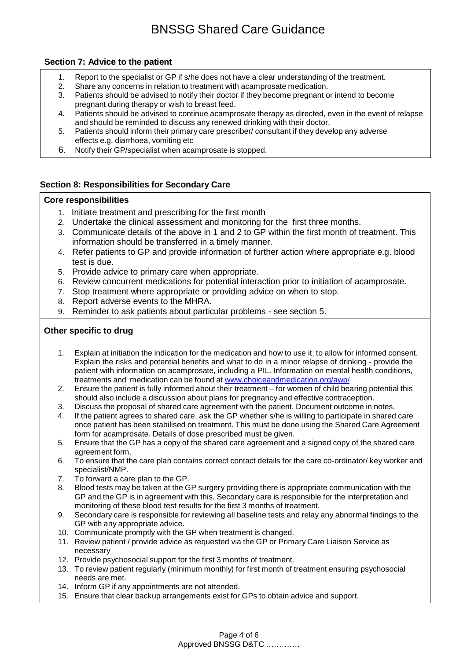## BNSSG Shared Care Guidance

## **Section 7: Advice to the patient**

- 1. Report to the specialist or GP if s/he does not have a clear understanding of the treatment.
- 2. Share any concerns in relation to treatment with acamprosate medication.<br>3. Patients should be advised to notify their doctor if they become pregnant c
- Patients should be advised to notify their doctor if they become pregnant or intend to become pregnant during therapy or wish to breast feed.
- 4. Patients should be advised to continue acamprosate therapy as directed, even in the event of relapse and should be reminded to discuss any renewed drinking with their doctor.
- 5. Patients should inform their primary care prescriber/ consultant if they develop any adverse effects e.g. diarrhoea, vomiting etc
- 6. Notify their GP/specialist when acamprosate is stopped.

## **Section 8: Responsibilities for Secondary Care**

#### **Core responsibilities**

- 1. Initiate treatment and prescribing for the first month
- *2.* Undertake the clinical assessment and monitoring for the first three months.
- 3. Communicate details of the above in 1 and 2 to GP within the first month of treatment. This information should be transferred in a timely manner.
- 4. Refer patients to GP and provide information of further action where appropriate e.g. blood test is due.
- 5. Provide advice to primary care when appropriate.
- 6. Review concurrent medications for potential interaction prior to initiation of acamprosate.
- 7. Stop treatment where appropriate or providing advice on when to stop.
- 8. Report adverse events to the MHRA.
- 9. Reminder to ask patients about particular problems see section 5.

## **Other specific to drug**

- 1. Explain at initiation the indication for the medication and how to use it, to allow for informed consent. Explain the risks and potential benefits and what to do in a minor relapse of drinking - provide the patient with information on acamprosate, including a PIL. Information on mental health conditions, treatments and medication can be found at [www.choiceandmedication.org/awp/](http://www.choiceandmedication.org/awp/)
- 2. Ensure the patient is fully informed about their treatment for women of child bearing potential this should also include a discussion about plans for pregnancy and effective contraception.
- 3. Discuss the proposal of shared care agreement with the patient. Document outcome in notes.
- 4. If the patient agrees to shared care, ask the GP whether s/he is willing to participate in shared care once patient has been stabilised on treatment. This must be done using the Shared Care Agreement form for acamprosate. Details of dose prescribed must be given.
- 5. Ensure that the GP has a copy of the shared care agreement and a signed copy of the shared care agreement form.
- 6. To ensure that the care plan contains correct contact details for the care co-ordinator/ key worker and specialist/NMP.
- 7. To forward a care plan to the GP.
- 8. Blood tests may be taken at the GP surgery providing there is appropriate communication with the GP and the GP is in agreement with this. Secondary care is responsible for the interpretation and monitoring of these blood test results for the first 3 months of treatment.
- 9. Secondary care is responsible for reviewing all baseline tests and relay any abnormal findings to the GP with any appropriate advice.
- 10. Communicate promptly with the GP when treatment is changed.
- 11. Review patient / provide advice as requested via the GP or Primary Care Liaison Service as necessary
- 12. Provide psychosocial support for the first 3 months of treatment.
- 13. To review patient regularly (minimum monthly) for first month of treatment ensuring psychosocial needs are met.
- 14. Inform GP if any appointments are not attended.
- 15. Ensure that clear backup arrangements exist for GPs to obtain advice and support.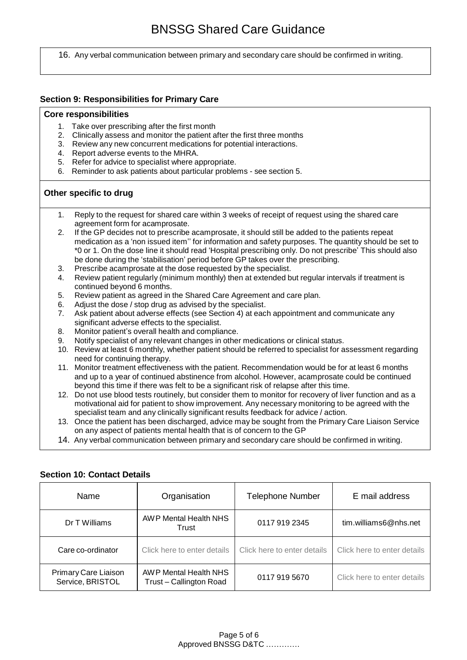16. Any verbal communication between primary and secondary care should be confirmed in writing.

### **Section 9: Responsibilities for Primary Care**

#### **Core responsibilities**

- 1. Take over prescribing after the first month
- 2. Clinically assess and monitor the patient after the first three months
- 3. Review any new concurrent medications for potential interactions.
- 4. Report adverse events to the MHRA.
- 5. Refer for advice to specialist where appropriate.
- 6. Reminder to ask patients about particular problems see section 5.

#### **Other specific to drug**

- 1. Reply to the request for shared care within 3 weeks of receipt of request using the shared care agreement form for acamprosate.
- 2. If the GP decides not to prescribe acamprosate, it should still be added to the patients repeat medication as a 'non issued item'' for information and safety purposes. The quantity should be set to \*0 or 1. On the dose line it should read 'Hospital prescribing only. Do not prescribe' This should also be done during the 'stabilisation' period before GP takes over the prescribing.
- 3. Prescribe acamprosate at the dose requested by the specialist.
- 4. Review patient regularly (minimum monthly) then at extended but regular intervals if treatment is continued beyond 6 months.
- 5. Review patient as agreed in the Shared Care Agreement and care plan.
- 6. Adjust the dose / stop drug as advised by the specialist.<br>7. Ask patient about adverse effects (see Section 4) at eac
- Ask patient about adverse effects (see Section 4) at each appointment and communicate any significant adverse effects to the specialist.
- 8. Monitor patient's overall health and compliance.
- 9. Notify specialist of any relevant changes in other medications or clinical status.
- 10. Review at least 6 monthly, whether patient should be referred to specialist for assessment regarding need for continuing therapy.
- 11. Monitor treatment effectiveness with the patient. Recommendation would be for at least 6 months and up to a year of continued abstinence from alcohol. However, acamprosate could be continued beyond this time if there was felt to be a significant risk of relapse after this time.
- 12. Do not use blood tests routinely, but consider them to monitor for recovery of liver function and as a motivational aid for patient to show improvement. Any necessary monitoring to be agreed with the specialist team and any clinically significant results feedback for advice / action.
- 13. Once the patient has been discharged, advice may be sought from the Primary Care Liaison Service on any aspect of patients mental health that is of concern to the GP
- 14. Any verbal communication between primary and secondary care should be confirmed in writing.

| Name                                     | Organisation                                     | <b>Telephone Number</b>     | E mail address              |
|------------------------------------------|--------------------------------------------------|-----------------------------|-----------------------------|
| Dr T Williams                            | AWP Mental Health NHS<br>Trust                   | 0117 919 2345               | tim.williams6@nhs.net       |
| Care co-ordinator                        | Click here to enter details                      | Click here to enter details | Click here to enter details |
| Primary Care Liaison<br>Service, BRISTOL | AWP Mental Health NHS<br>Trust - Callington Road | 0117 919 5670               | Click here to enter details |

#### **Section 10: Contact Details**